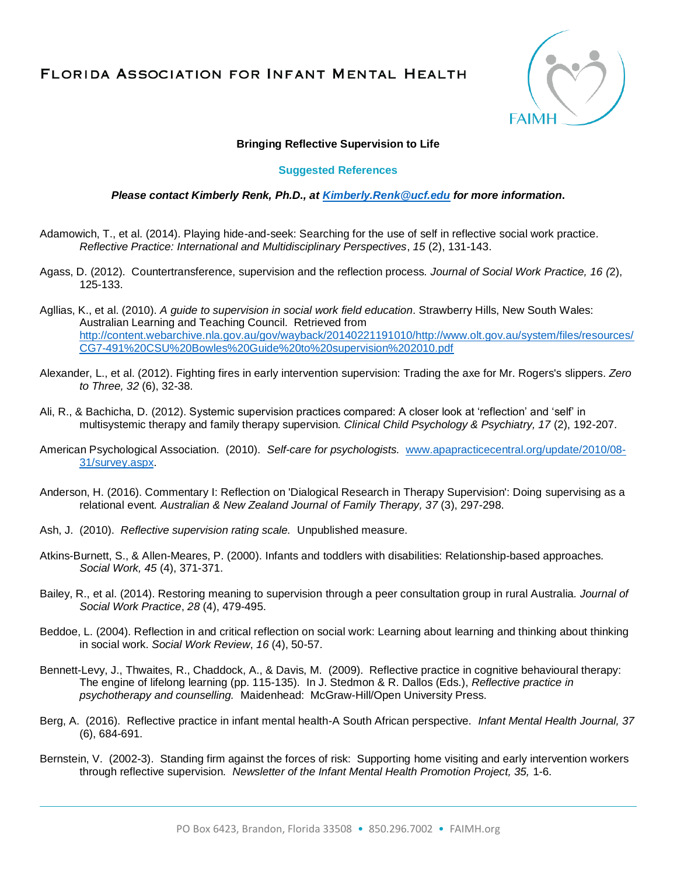## FLORIDA ASSOCIATION FOR INFANT MENTAL HEALTH



## **Bringing Reflective Supervision to Life**

## **Suggested References**

## *Please contact Kimberly Renk, Ph.D., at [Kimberly.Renk@ucf.edu](mailto:Kimberly.Renk@ucf.edu) for more information***.**

- Adamowich, T., et al. (2014). Playing hide-and-seek: Searching for the use of self in reflective social work practice*. Reflective Practice: International and Multidisciplinary Perspectives*, *15* (2), 131-143.
- Agass, D. (2012). Countertransference, supervision and the reflection process*. Journal of Social Work Practice, 16 (*2), 125-133.
- Agllias, K., et al. (2010). *A guide to supervision in social work field education*. Strawberry Hills, New South Wales: Australian Learning and Teaching Council. Retrieved from [http://content.webarchive.nla.gov.au/gov/wayback/20140221191010/http://www.olt.gov.au/system/files/resources/](http://content.webarchive.nla.gov.au/gov/wayback/20140221191010/http:/www.olt.gov.au/system/files/resources/CG7-491%20CSU%20Bowles%20Guide%20to%20supervision%202010.pdf) [CG7-491%20CSU%20Bowles%20Guide%20to%20supervision%202010.pdf](http://content.webarchive.nla.gov.au/gov/wayback/20140221191010/http:/www.olt.gov.au/system/files/resources/CG7-491%20CSU%20Bowles%20Guide%20to%20supervision%202010.pdf)
- Alexander, L., et al. (2012). Fighting fires in early intervention supervision: Trading the axe for Mr. Rogers's slippers. *Zero to Three, 32* (6), 32-38.
- Ali, R., & Bachicha, D. (2012). Systemic supervision practices compared: A closer look at 'reflection' and 'self' in multisystemic therapy and family therapy supervision*. Clinical Child Psychology & Psychiatry, 17* (2), 192-207.
- American Psychological Association. (2010). *Self-care for psychologists.* [www.apapracticecentral.org/update/2010/08-](http://www.apapracticecentral.org/update/2010/08-31/survey.aspx) [31/survey.aspx.](http://www.apapracticecentral.org/update/2010/08-31/survey.aspx)
- Anderson, H. (2016). Commentary I: Reflection on 'Dialogical Research in Therapy Supervision': Doing supervising as a relational event*. Australian & New Zealand Journal of Family Therapy, 37* (3), 297-298.
- Ash, J. (2010). *Reflective supervision rating scale.* Unpublished measure.
- Atkins-Burnett, S., & Allen-Meares, P. (2000). Infants and toddlers with disabilities: Relationship-based approaches*. Social Work, 45* (4), 371-371.
- Bailey, R., et al. (2014). Restoring meaning to supervision through a peer consultation group in rural Australia*. Journal of Social Work Practice*, *28* (4), 479-495.
- Beddoe, L. (2004). Reflection in and critical reflection on social work: Learning about learning and thinking about thinking in social work. *Social Work Review*, *16* (4), 50-57.
- Bennett-Levy, J., Thwaites, R., Chaddock, A., & Davis, M. (2009). Reflective practice in cognitive behavioural therapy: The engine of lifelong learning (pp. 115-135). In J. Stedmon & R. Dallos (Eds.), *Reflective practice in psychotherapy and counselling.* Maidenhead: McGraw-Hill/Open University Press.
- Berg, A. (2016). Reflective practice in infant mental health-A South African perspective. *Infant Mental Health Journal, 37* (6), 684-691.
- Bernstein, V. (2002-3). Standing firm against the forces of risk: Supporting home visiting and early intervention workers through reflective supervision. *Newsletter of the Infant Mental Health Promotion Project, 35,* 1-6.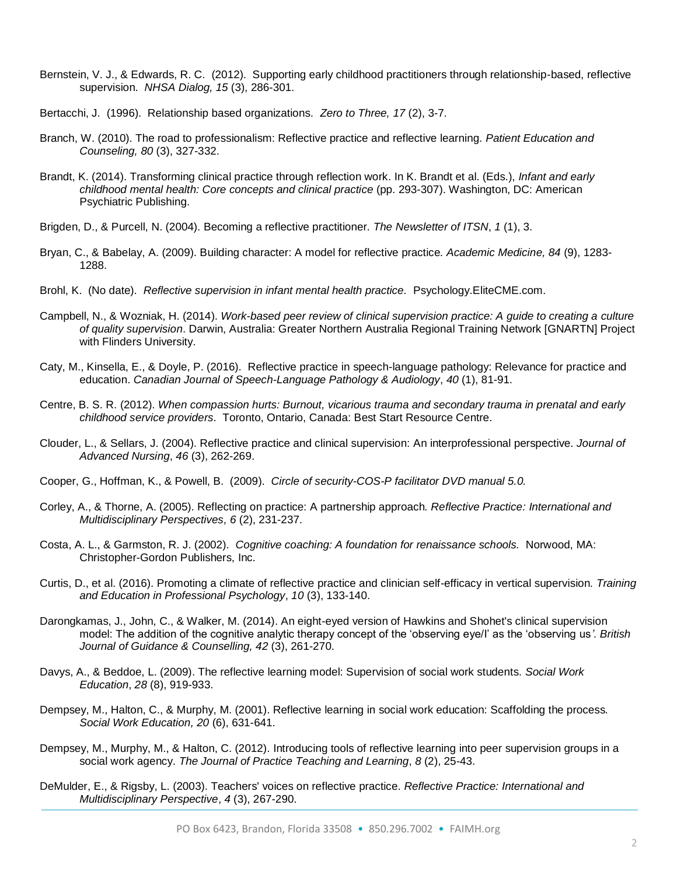- Bernstein, V. J., & Edwards, R. C. (2012). Supporting early childhood practitioners through relationship-based, reflective supervision. *NHSA Dialog, 15* (3), 286-301.
- Bertacchi, J. (1996). Relationship based organizations. *Zero to Three, 17* (2), 3-7.
- Branch, W. (2010). The road to professionalism: Reflective practice and reflective learning. *Patient Education and Counseling, 80* (3), 327-332.
- Brandt, K. (2014). Transforming clinical practice through reflection work. In K. Brandt et al. (Eds.), *Infant and early childhood mental health: Core concepts and clinical practice* (pp. 293-307). Washington, DC: American Psychiatric Publishing.
- Brigden, D., & Purcell, N. (2004). Becoming a reflective practitioner. *The Newsletter of ITSN*, *1* (1), 3.
- Bryan, C., & Babelay, A. (2009). Building character: A model for reflective practice*. Academic Medicine, 84* (9), 1283- 1288.
- Brohl, K. (No date). *Reflective supervision in infant mental health practice.* Psychology.EliteCME.com.
- Campbell, N., & Wozniak, H. (2014). *Work-based peer review of clinical supervision practice: A guide to creating a culture of quality supervision*. Darwin, Australia: Greater Northern Australia Regional Training Network [GNARTN] Project with Flinders University.
- Caty, M., Kinsella, E., & Doyle, P. (2016). Reflective practice in speech-language pathology: Relevance for practice and education. *Canadian Journal of Speech-Language Pathology & Audiology*, *40* (1), 81-91.
- Centre, B. S. R. (2012). *When compassion hurts: Burnout, vicarious trauma and secondary trauma in prenatal and early childhood service providers*. Toronto, Ontario, Canada: Best Start Resource Centre.
- Clouder, L., & Sellars, J. (2004). Reflective practice and clinical supervision: An interprofessional perspective. *Journal of Advanced Nursing*, *46* (3), 262-269.
- Cooper, G., Hoffman, K., & Powell, B. (2009). *Circle of security-COS-P facilitator DVD manual 5.0.*
- Corley, A., & Thorne, A. (2005). Reflecting on practice: A partnership approach*. Reflective Practice: International and Multidisciplinary Perspectives, 6* (2), 231-237.
- Costa, A. L., & Garmston, R. J. (2002). *Cognitive coaching: A foundation for renaissance schools.* Norwood, MA: Christopher-Gordon Publishers, Inc.
- Curtis, D., et al. (2016). Promoting a climate of reflective practice and clinician self-efficacy in vertical supervision. *Training and Education in Professional Psychology*, *10* (3), 133-140.
- Darongkamas, J., John, C., & Walker, M. (2014). An eight-eyed version of Hawkins and Shohet's clinical supervision model: The addition of the cognitive analytic therapy concept of the 'observing eye/I' as the 'observing us*'. British Journal of Guidance & Counselling, 42* (3), 261-270.
- Davys, A., & Beddoe, L. (2009). The reflective learning model: Supervision of social work students. *Social Work Education*, *28* (8), 919-933.
- Dempsey, M., Halton, C., & Murphy, M. (2001). Reflective learning in social work education: Scaffolding the process*. Social Work Education, 20* (6), 631-641.
- Dempsey, M., Murphy, M., & Halton, C. (2012). Introducing tools of reflective learning into peer supervision groups in a social work agency. *The Journal of Practice Teaching and Learning*, *8* (2), 25-43.
- DeMulder, E., & Rigsby, L. (2003). Teachers' voices on reflective practice. *Reflective Practice: International and Multidisciplinary Perspective*, *4* (3), 267-290.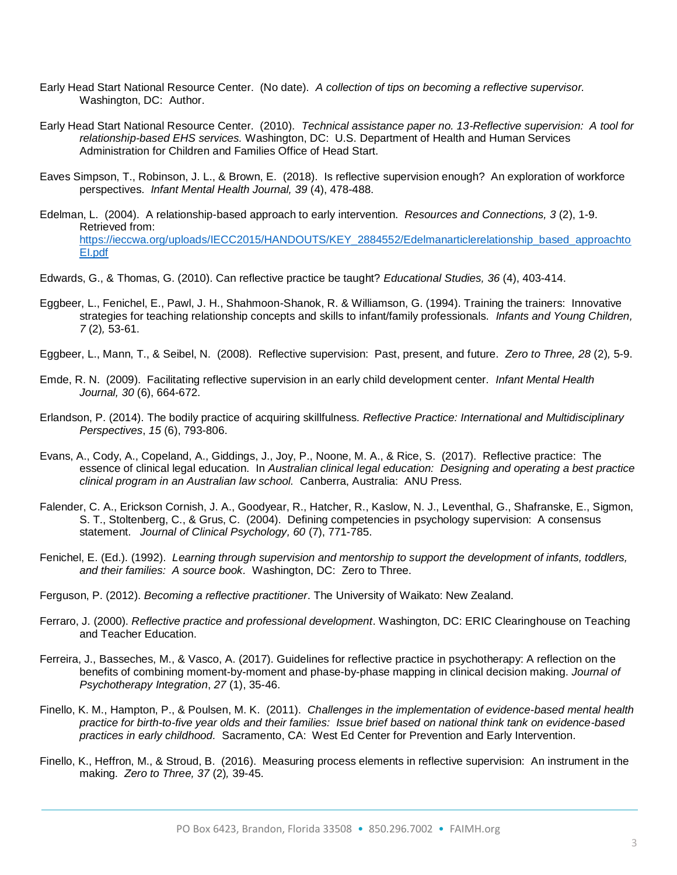- Early Head Start National Resource Center. (No date). *A collection of tips on becoming a reflective supervisor.* Washington, DC: Author.
- Early Head Start National Resource Center. (2010). *Technical assistance paper no. 13-Reflective supervision: A tool for relationship-based EHS services.* Washington, DC: U.S. Department of Health and Human Services Administration for Children and Families Office of Head Start.
- Eaves Simpson, T., Robinson, J. L., & Brown, E. (2018). Is reflective supervision enough? An exploration of workforce perspectives. *Infant Mental Health Journal, 39* (4), 478-488.
- Edelman, L. (2004). A relationship-based approach to early intervention. *Resources and Connections, 3* (2), 1-9. Retrieved from: [https://ieccwa.org/uploads/IECC2015/HANDOUTS/KEY\\_2884552/Edelmanarticlerelationship\\_based\\_approachto](https://ieccwa.org/uploads/IECC2015/HANDOUTS/KEY_2884552/Edelmanarticlerelationship_based_approachtoEI.pdf) [EI.pdf](https://ieccwa.org/uploads/IECC2015/HANDOUTS/KEY_2884552/Edelmanarticlerelationship_based_approachtoEI.pdf)
- Edwards, G., & Thomas, G. (2010). Can reflective practice be taught? *Educational Studies, 36* (4), 403-414.
- Eggbeer, L., Fenichel, E., Pawl, J. H., Shahmoon-Shanok, R. & Williamson, G. (1994). Training the trainers: Innovative strategies for teaching relationship concepts and skills to infant/family professionals. *Infants and Young Children, 7* (2)*,* 53-61.
- Eggbeer, L., Mann, T., & Seibel, N. (2008). Reflective supervision: Past, present, and future. *Zero to Three, 28* (2)*,* 5-9.
- Emde, R. N. (2009). Facilitating reflective supervision in an early child development center. *Infant Mental Health Journal, 30* (6), 664-672.
- Erlandson, P. (2014). The bodily practice of acquiring skillfulness*. Reflective Practice: International and Multidisciplinary Perspectives*, *15* (6), 793-806.
- Evans, A., Cody, A., Copeland, A., Giddings, J., Joy, P., Noone, M. A., & Rice, S. (2017). Reflective practice: The essence of clinical legal education. In *Australian clinical legal education: Designing and operating a best practice clinical program in an Australian law school.* Canberra, Australia: ANU Press.
- Falender, C. A., Erickson Cornish, J. A., Goodyear, R., Hatcher, R., Kaslow, N. J., Leventhal, G., Shafranske, E., Sigmon, S. T., Stoltenberg, C., & Grus, C. (2004). Defining competencies in psychology supervision: A consensus statement. *Journal of Clinical Psychology, 60* (7), 771-785.
- Fenichel, E. (Ed.). (1992). *Learning through supervision and mentorship to support the development of infants, toddlers, and their families: A source book.* Washington, DC: Zero to Three.
- Ferguson, P. (2012). *Becoming a reflective practitioner*. The University of Waikato: New Zealand.
- Ferraro, J. (2000). *Reflective practice and professional development*. Washington, DC: ERIC Clearinghouse on Teaching and Teacher Education.
- Ferreira, J., Basseches, M., & Vasco, A. (2017). Guidelines for reflective practice in psychotherapy: A reflection on the benefits of combining moment-by-moment and phase-by-phase mapping in clinical decision making. *Journal of Psychotherapy Integration*, *27* (1), 35-46.
- Finello, K. M., Hampton, P., & Poulsen, M. K. (2011). *Challenges in the implementation of evidence-based mental health practice for birth-to-five year olds and their families: Issue brief based on national think tank on evidence-based practices in early childhood.* Sacramento, CA: West Ed Center for Prevention and Early Intervention.
- Finello, K., Heffron, M., & Stroud, B. (2016). Measuring process elements in reflective supervision: An instrument in the making. *Zero to Three, 37* (2)*,* 39-45.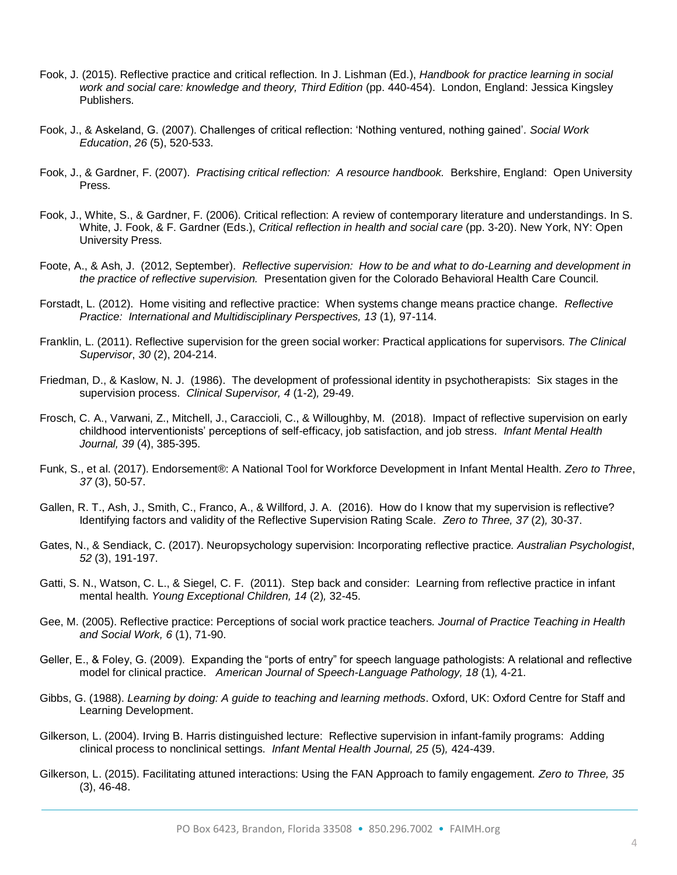- Fook, J. (2015). Reflective practice and critical reflection. In J. Lishman (Ed.), *Handbook for practice learning in social work and social care: knowledge and theory, Third Edition* (pp. 440-454). London, England: Jessica Kingsley Publishers.
- Fook, J., & Askeland, G. (2007). Challenges of critical reflection: 'Nothing ventured, nothing gained'*. Social Work Education*, *26* (5), 520-533.
- Fook, J., & Gardner, F. (2007). *Practising critical reflection: A resource handbook.* Berkshire, England: Open University Press.
- Fook, J., White, S., & Gardner, F. (2006). Critical reflection: A review of contemporary literature and understandings. In S. White, J. Fook, & F. Gardner (Eds.), *Critical reflection in health and social care* (pp. 3-20). New York, NY: Open University Press.
- Foote, A., & Ash, J. (2012, September). *Reflective supervision: How to be and what to do-Learning and development in the practice of reflective supervision.* Presentation given for the Colorado Behavioral Health Care Council.
- Forstadt, L. (2012). Home visiting and reflective practice: When systems change means practice change. *Reflective Practice: International and Multidisciplinary Perspectives, 13* (1)*,* 97-114.
- Franklin, L. (2011). Reflective supervision for the green social worker: Practical applications for supervisors. *The Clinical Supervisor*, *30* (2), 204-214.
- Friedman, D., & Kaslow, N. J. (1986). The development of professional identity in psychotherapists: Six stages in the supervision process. *Clinical Supervisor, 4* (1-2)*,* 29-49.
- Frosch, C. A., Varwani, Z., Mitchell, J., Caraccioli, C., & Willoughby, M. (2018). Impact of reflective supervision on early childhood interventionists' perceptions of self-efficacy, job satisfaction, and job stress. *Infant Mental Health Journal, 39* (4), 385-395.
- Funk, S., et al. (2017). Endorsement®: A National Tool for Workforce Development in Infant Mental Health*. Zero to Three*, *37* (3), 50-57.
- Gallen, R. T., Ash, J., Smith, C., Franco, A., & Willford, J. A. (2016). How do I know that my supervision is reflective? Identifying factors and validity of the Reflective Supervision Rating Scale. *Zero to Three, 37* (2)*,* 30-37.
- Gates, N., & Sendiack, C. (2017). Neuropsychology supervision: Incorporating reflective practice*. Australian Psychologist*, *52* (3), 191-197.
- Gatti, S. N., Watson, C. L., & Siegel, C. F. (2011). Step back and consider: Learning from reflective practice in infant mental health. *Young Exceptional Children, 14* (2)*,* 32-45.
- Gee, M. (2005). Reflective practice: Perceptions of social work practice teachers*. Journal of Practice Teaching in Health and Social Work, 6* (1), 71-90.
- Geller, E., & Foley, G. (2009). Expanding the "ports of entry" for speech language pathologists: A relational and reflective model for clinical practice. *American Journal of Speech-Language Pathology, 18* (1)*,* 4-21.
- Gibbs, G. (1988). *Learning by doing: A guide to teaching and learning methods*. Oxford, UK: Oxford Centre for Staff and Learning Development.
- Gilkerson, L. (2004). Irving B. Harris distinguished lecture: Reflective supervision in infant-family programs: Adding clinical process to nonclinical settings. *Infant Mental Health Journal, 25* (5)*,* 424-439.
- Gilkerson, L. (2015). Facilitating attuned interactions: Using the FAN Approach to family engagement*. Zero to Three, 35*  (3), 46-48.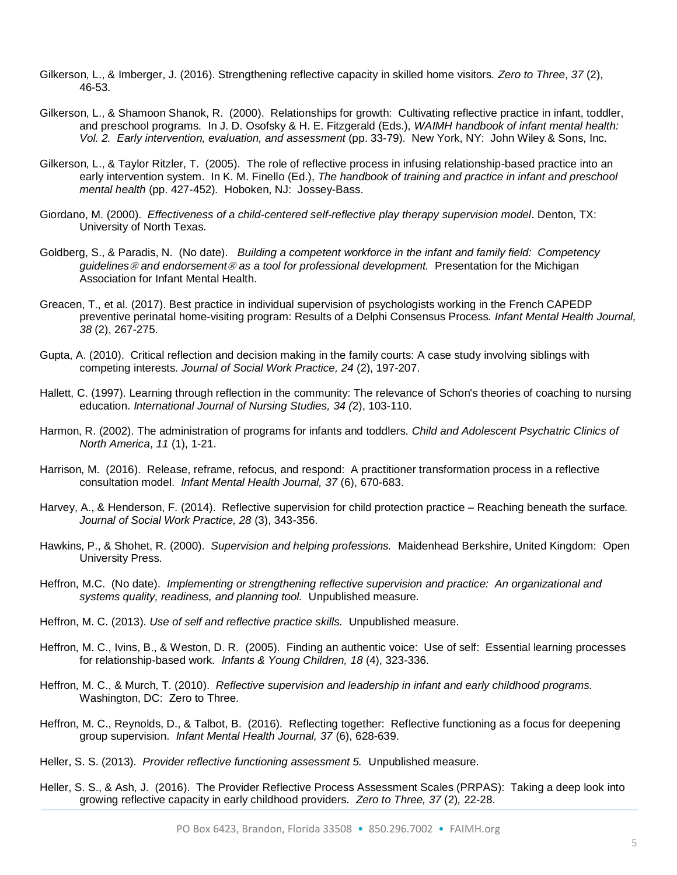- Gilkerson, L., & Imberger, J. (2016). Strengthening reflective capacity in skilled home visitors*. Zero to Three*, *37* (2), 46-53.
- Gilkerson, L., & Shamoon Shanok, R. (2000). Relationships for growth: Cultivating reflective practice in infant, toddler, and preschool programs. In J. D. Osofsky & H. E. Fitzgerald (Eds.), *WAIMH handbook of infant mental health: Vol. 2. Early intervention, evaluation, and assessment* (pp. 33-79). New York, NY: John Wiley & Sons, Inc.
- Gilkerson, L., & Taylor Ritzler, T. (2005). The role of reflective process in infusing relationship-based practice into an early intervention system. In K. M. Finello (Ed.), *The handbook of training and practice in infant and preschool mental health* (pp. 427-452)*.* Hoboken, NJ: Jossey-Bass.
- Giordano, M. (2000). *Effectiveness of a child-centered self-reflective play therapy supervision model*. Denton, TX: University of North Texas.
- Goldberg, S., & Paradis, N. (No date). *Building a competent workforce in the infant and family field: Competency guidelines and endorsement as a tool for professional development.* Presentation for the Michigan Association for Infant Mental Health.
- Greacen, T., et al. (2017). Best practice in individual supervision of psychologists working in the French CAPEDP preventive perinatal home-visiting program: Results of a Delphi Consensus Process*. Infant Mental Health Journal, 38* (2), 267-275.
- Gupta, A. (2010). Critical reflection and decision making in the family courts: A case study involving siblings with competing interests. *Journal of Social Work Practice, 24* (2), 197-207.
- Hallett, C. (1997). Learning through reflection in the community: The relevance of Schon's theories of coaching to nursing education. *International Journal of Nursing Studies, 34 (*2), 103-110.
- Harmon, R. (2002). The administration of programs for infants and toddlers*. Child and Adolescent Psychatric Clinics of North America*, *11* (1), 1-21.
- Harrison, M. (2016). Release, reframe, refocus, and respond: A practitioner transformation process in a reflective consultation model. *Infant Mental Health Journal, 37* (6), 670-683.
- Harvey, A., & Henderson, F. (2014). Reflective supervision for child protection practice Reaching beneath the surface*. Journal of Social Work Practice, 28* (3), 343-356.
- Hawkins, P., & Shohet, R. (2000). *Supervision and helping professions.* Maidenhead Berkshire, United Kingdom: Open University Press.
- Heffron, M.C. (No date). *Implementing or strengthening reflective supervision and practice: An organizational and systems quality, readiness, and planning tool.* Unpublished measure.
- Heffron, M. C. (2013). *Use of self and reflective practice skills.* Unpublished measure.
- Heffron, M. C., Ivins, B., & Weston, D. R. (2005). Finding an authentic voice: Use of self: Essential learning processes for relationship-based work. *Infants & Young Children, 18* (4), 323-336.
- Heffron, M. C., & Murch, T. (2010). *Reflective supervision and leadership in infant and early childhood programs.* Washington, DC: Zero to Three.
- Heffron, M. C., Reynolds, D., & Talbot, B. (2016). Reflecting together: Reflective functioning as a focus for deepening group supervision. *Infant Mental Health Journal, 37* (6), 628-639.
- Heller, S. S. (2013). *Provider reflective functioning assessment 5.* Unpublished measure.
- Heller, S. S., & Ash, J. (2016). The Provider Reflective Process Assessment Scales (PRPAS): Taking a deep look into growing reflective capacity in early childhood providers. *Zero to Three, 37* (2)*,* 22-28.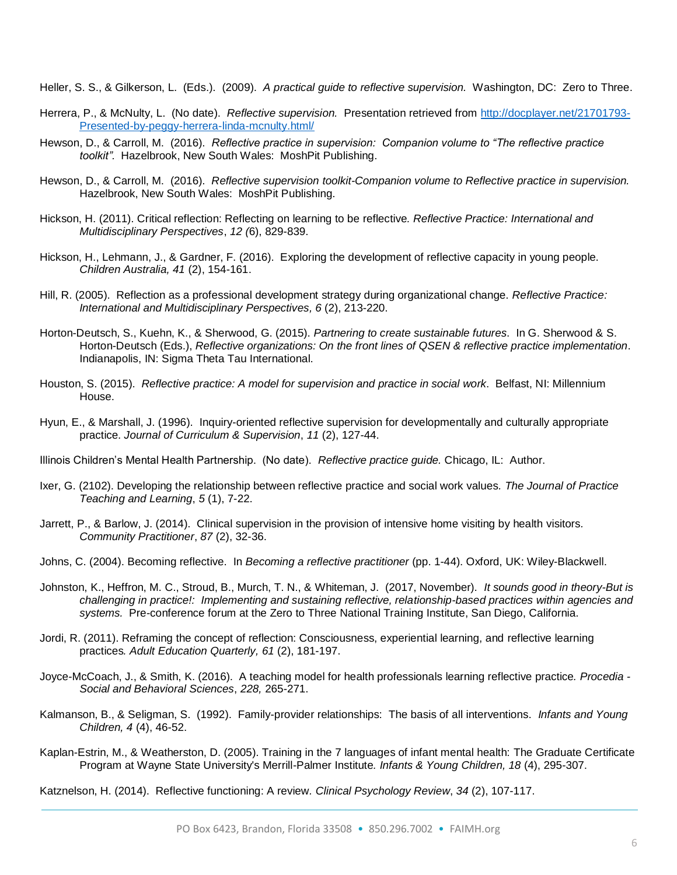Heller, S. S., & Gilkerson, L. (Eds.). (2009). *A practical guide to reflective supervision.* Washington, DC: Zero to Three.

- Herrera, P., & McNulty, L. (No date). *Reflective supervision.* Presentation retrieved from [http://docplayer.net/21701793-](http://docplayer.net/21701793-Presented-by-peggy-herrera-linda-mcnulty.html/) [Presented-by-peggy-herrera-linda-mcnulty.html/](http://docplayer.net/21701793-Presented-by-peggy-herrera-linda-mcnulty.html/)
- Hewson, D., & Carroll, M. (2016). *Reflective practice in supervision: Companion volume to "The reflective practice toolkit".* Hazelbrook, New South Wales: MoshPit Publishing.
- Hewson, D., & Carroll, M. (2016). *Reflective supervision toolkit-Companion volume to Reflective practice in supervision.*  Hazelbrook, New South Wales: MoshPit Publishing.
- Hickson, H. (2011). Critical reflection: Reflecting on learning to be reflective*. Reflective Practice: International and Multidisciplinary Perspectives*, *12 (*6), 829-839.
- Hickson, H., Lehmann, J., & Gardner, F. (2016). Exploring the development of reflective capacity in young people. *Children Australia, 41* (2), 154-161.
- Hill, R. (2005). Reflection as a professional development strategy during organizational change. *Reflective Practice: International and Multidisciplinary Perspectives, 6* (2), 213-220.
- Horton-Deutsch, S., Kuehn, K., & Sherwood, G. (2015). *Partnering to create sustainable futures*. In G. Sherwood & S. Horton-Deutsch (Eds.), *Reflective organizations: On the front lines of QSEN & reflective practice implementation*. Indianapolis, IN: Sigma Theta Tau International.
- Houston, S. (2015). *Reflective practice: A model for supervision and practice in social work*. Belfast, NI: Millennium House.
- Hyun, E., & Marshall, J. (1996). Inquiry-oriented reflective supervision for developmentally and culturally appropriate practice. *Journal of Curriculum & Supervision*, *11* (2), 127-44.

Illinois Children's Mental Health Partnership. (No date). *Reflective practice guide.* Chicago, IL: Author.

- Ixer, G. (2102). Developing the relationship between reflective practice and social work values*. The Journal of Practice Teaching and Learning*, *5* (1), 7-22.
- Jarrett, P., & Barlow, J. (2014). Clinical supervision in the provision of intensive home visiting by health visitors*. Community Practitioner*, *87* (2), 32-36.
- Johns, C. (2004). Becoming reflective. In *Becoming a reflective practitioner* (pp. 1-44). Oxford, UK: Wiley-Blackwell.
- Johnston, K., Heffron, M. C., Stroud, B., Murch, T. N., & Whiteman, J. (2017, November). *It sounds good in theory-But is challenging in practice!: Implementing and sustaining reflective, relationship-based practices within agencies and systems.* Pre-conference forum at the Zero to Three National Training Institute, San Diego, California.
- Jordi, R. (2011). Reframing the concept of reflection: Consciousness, experiential learning, and reflective learning practices*. Adult Education Quarterly, 61* (2), 181-197.
- Joyce-McCoach, J., & Smith, K. (2016). A teaching model for health professionals learning reflective practice*. Procedia - Social and Behavioral Sciences*, *228,* 265-271.
- Kalmanson, B., & Seligman, S. (1992). Family-provider relationships: The basis of all interventions. *Infants and Young Children, 4* (4), 46-52.
- Kaplan-Estrin, M., & Weatherston, D. (2005). Training in the 7 languages of infant mental health: The Graduate Certificate Program at Wayne State University's Merrill-Palmer Institute*. Infants & Young Children, 18* (4), 295-307.

Katznelson, H. (2014). Reflective functioning: A review*. Clinical Psychology Review*, *34* (2), 107-117.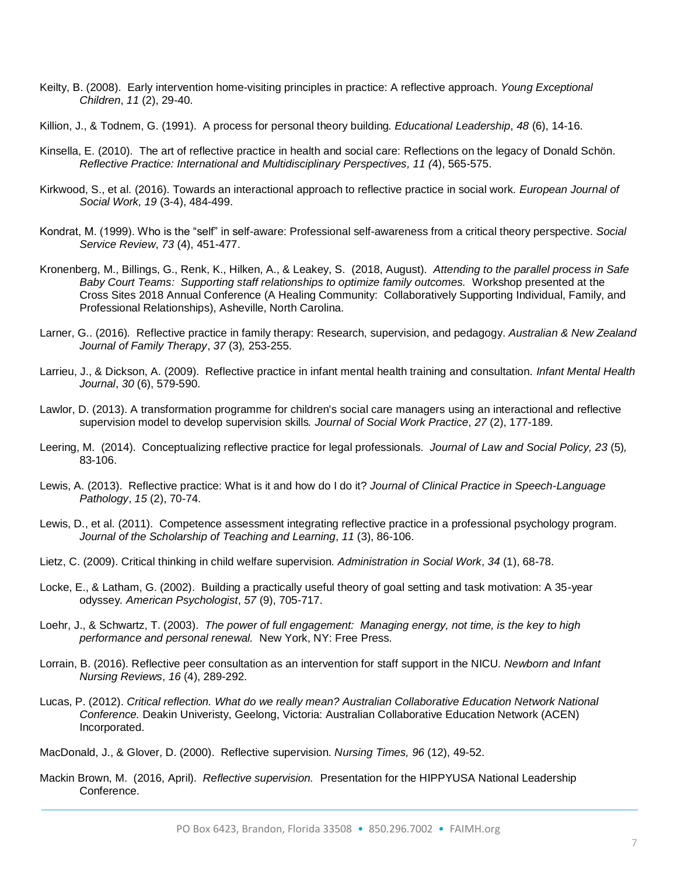- Keilty, B. (2008). Early intervention home-visiting principles in practice: A reflective approach. *Young Exceptional Children*, *11* (2), 29-40.
- Killion, J., & Todnem, G. (1991). A process for personal theory building*. Educational Leadership*, *48* (6), 14-16.
- Kinsella, E. (2010). The art of reflective practice in health and social care: Reflections on the legacy of Donald Schön. *Reflective Practice: International and Multidisciplinary Perspectives, 11 (*4), 565-575.
- Kirkwood, S., et al. (2016). Towards an interactional approach to reflective practice in social work*. European Journal of Social Work, 19* (3-4), 484-499.
- Kondrat, M. (1999). Who is the "self" in self-aware: Professional self-awareness from a critical theory perspective. *Social Service Review*, *73* (4), 451-477.
- Kronenberg, M., Billings, G., Renk, K., Hilken, A., & Leakey, S. (2018, August). *Attending to the parallel process in Safe Baby Court Teams: Supporting staff relationships to optimize family outcomes.* Workshop presented at the Cross Sites 2018 Annual Conference (A Healing Community: Collaboratively Supporting Individual, Family, and Professional Relationships), Asheville, North Carolina.
- Larner, G.. (2016)*.* Reflective practice in family therapy: Research, supervision, and pedagogy. *Australian & New Zealand Journal of Family Therapy*, *37* (3)*,* 253-255.
- Larrieu, J., & Dickson, A. (2009). Reflective practice in infant mental health training and consultation. *Infant Mental Health Journal*, *30* (6), 579-590.
- Lawlor, D. (2013). A transformation programme for children's social care managers using an interactional and reflective supervision model to develop supervision skills*. Journal of Social Work Practice*, *27* (2), 177-189.
- Leering, M. (2014). Conceptualizing reflective practice for legal professionals. *Journal of Law and Social Policy, 23* (5)*,*  83-106.
- Lewis, A. (2013). Reflective practice: What is it and how do I do it? *Journal of Clinical Practice in Speech-Language Pathology*, *15* (2), 70-74.
- Lewis, D., et al. (2011). Competence assessment integrating reflective practice in a professional psychology program. *Journal of the Scholarship of Teaching and Learning*, *11* (3), 86-106.
- Lietz, C. (2009). Critical thinking in child welfare supervision*. Administration in Social Work*, *34* (1), 68-78.
- Locke, E., & Latham, G. (2002). Building a practically useful theory of goal setting and task motivation: A 35-year odyssey*. American Psychologist*, *57* (9), 705-717.
- Loehr, J., & Schwartz, T. (2003). *The power of full engagement: Managing energy, not time, is the key to high performance and personal renewal.* New York, NY: Free Press.
- Lorrain, B. (2016). Reflective peer consultation as an intervention for staff support in the NICU*. Newborn and Infant Nursing Reviews*, *16* (4), 289-292.
- Lucas, P. (2012). *Critical reflection. What do we really mean? Australian Collaborative Education Network National Conference.* Deakin Univeristy, Geelong, Victoria: Australian Collaborative Education Network (ACEN) Incorporated.

MacDonald, J., & Glover, D. (2000). Reflective supervision. *Nursing Times, 96* (12), 49-52.

Mackin Brown, M. (2016, April). *Reflective supervision.* Presentation for the HIPPYUSA National Leadership Conference.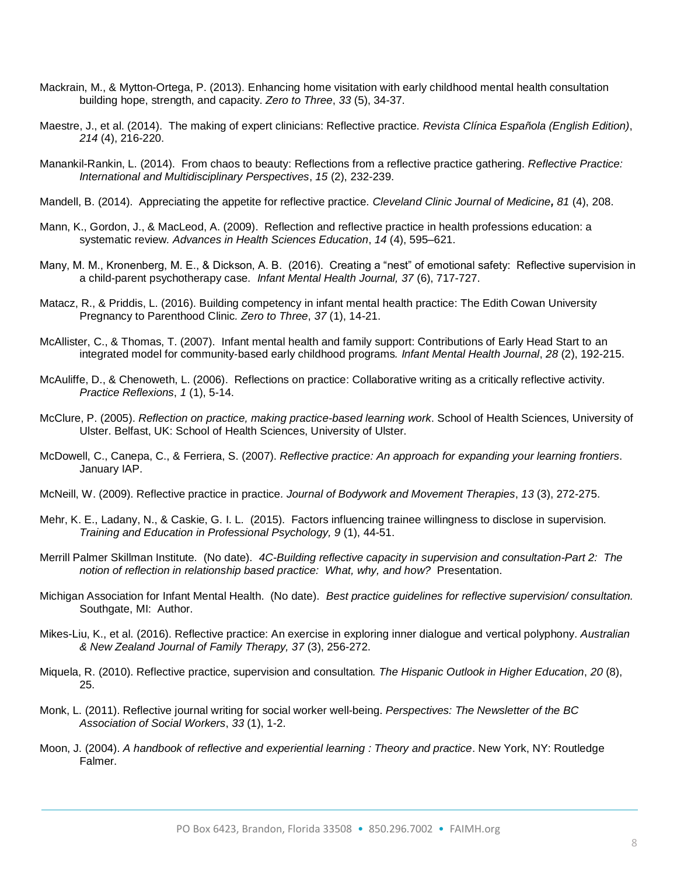- Mackrain, M., & Mytton-Ortega, P. (2013). Enhancing home visitation with early childhood mental health consultation building hope, strength, and capacity. *Zero to Three*, *33* (5), 34-37.
- Maestre, J., et al. (2014). The making of expert clinicians: Reflective practice*. Revista Clínica Española (English Edition)*, *214* (4), 216-220.
- Manankil-Rankin, L. (2014). From chaos to beauty: Reflections from a reflective practice gathering. *Reflective Practice: International and Multidisciplinary Perspectives*, *15* (2), 232-239.
- Mandell, B. (2014). Appreciating the appetite for reflective practice*. Cleveland Clinic Journal of Medicine, 81* (4), 208.
- Mann, K., Gordon, J., & MacLeod, A. (2009). Reflection and reflective practice in health professions education: a systematic review*. Advances in Health Sciences Education*, *14* (4), 595–621.
- Many, M. M., Kronenberg, M. E., & Dickson, A. B. (2016). Creating a "nest" of emotional safety: Reflective supervision in a child-parent psychotherapy case. *Infant Mental Health Journal, 37* (6), 717-727.
- Matacz, R., & Priddis, L. (2016). Building competency in infant mental health practice: The Edith Cowan University Pregnancy to Parenthood Clinic*. Zero to Three*, *37* (1), 14-21.
- McAllister, C., & Thomas, T. (2007). Infant mental health and family support: Contributions of Early Head Start to an integrated model for community‐based early childhood programs*. Infant Mental Health Journal*, *28* (2), 192-215.
- McAuliffe, D., & Chenoweth, L. (2006). Reflections on practice: Collaborative writing as a critically reflective activity*. Practice Reflexions*, *1* (1), 5-14.
- McClure, P. (2005). *Reflection on practice, making practice-based learning work*. School of Health Sciences, University of Ulster. Belfast, UK: School of Health Sciences, University of Ulster.
- McDowell, C., Canepa, C., & Ferriera, S. (2007). *Reflective practice: An approach for expanding your learning frontiers*. January IAP.
- McNeill, W. (2009). Reflective practice in practice*. Journal of Bodywork and Movement Therapies*, *13* (3), 272-275.
- Mehr, K. E., Ladany, N., & Caskie, G. I. L. (2015). Factors influencing trainee willingness to disclose in supervision. *Training and Education in Professional Psychology, 9* (1), 44-51.
- Merrill Palmer Skillman Institute. (No date). *4C-Building reflective capacity in supervision and consultation-Part 2: The notion of reflection in relationship based practice: What, why, and how?* Presentation.
- Michigan Association for Infant Mental Health. (No date). *Best practice guidelines for reflective supervision/ consultation.* Southgate, MI: Author.
- Mikes-Liu, K., et al. (2016). Reflective practice: An exercise in exploring inner dialogue and vertical polyphony. *Australian & New Zealand Journal of Family Therapy, 37* (3), 256-272.
- Miquela, R. (2010). Reflective practice, supervision and consultation*. The Hispanic Outlook in Higher Education*, *20* (8), 25.
- Monk, L. (2011). Reflective journal writing for social worker well-being. *Perspectives: The Newsletter of the BC Association of Social Workers*, *33* (1), 1-2.
- Moon, J. (2004). *A handbook of reflective and experiential learning : Theory and practice*. New York, NY: Routledge Falmer.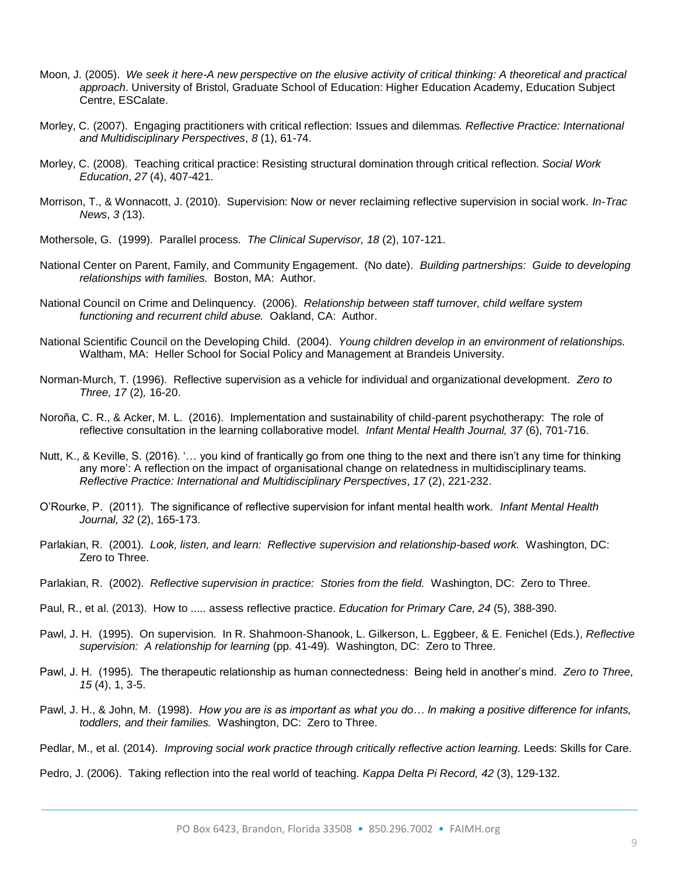- Moon, J. (2005). *We seek it here-A new perspective on the elusive activity of critical thinking: A theoretical and practical approach*. University of Bristol, Graduate School of Education: Higher Education Academy, Education Subject Centre, ESCalate.
- Morley, C. (2007). Engaging practitioners with critical reflection: Issues and dilemmas*. Reflective Practice: International and Multidisciplinary Perspectives*, *8* (1), 61-74.
- Morley, C. (2008). Teaching critical practice: Resisting structural domination through critical reflection. *Social Work Education*, *27* (4), 407-421.
- Morrison, T., & Wonnacott, J. (2010). Supervision: Now or never reclaiming reflective supervision in social work. *In-Trac News*, *3 (*13).
- Mothersole, G. (1999). Parallel process. *The Clinical Supervisor, 18* (2), 107-121.
- National Center on Parent, Family, and Community Engagement. (No date). *Building partnerships: Guide to developing relationships with families.* Boston, MA: Author.
- National Council on Crime and Delinquency. (2006). *Relationship between staff turnover, child welfare system functioning and recurrent child abuse.* Oakland, CA: Author.
- National Scientific Council on the Developing Child. (2004). *Young children develop in an environment of relationships.*  Waltham, MA: Heller School for Social Policy and Management at Brandeis University.
- Norman-Murch, T. (1996). Reflective supervision as a vehicle for individual and organizational development. *Zero to Three, 17* (2)*,* 16-20.
- Noroña, C. R., & Acker, M. L. (2016). Implementation and sustainability of child-parent psychotherapy: The role of reflective consultation in the learning collaborative model. *Infant Mental Health Journal, 37* (6), 701-716.
- Nutt, K., & Keville, S. (2016). '… you kind of frantically go from one thing to the next and there isn't any time for thinking any more': A reflection on the impact of organisational change on relatedness in multidisciplinary teams. *Reflective Practice: International and Multidisciplinary Perspectives*, *17* (2), 221-232.
- O'Rourke, P. (2011). The significance of reflective supervision for infant mental health work. *Infant Mental Health Journal, 32* (2), 165-173.
- Parlakian, R. (2001). *Look, listen, and learn: Reflective supervision and relationship-based work.* Washington, DC: Zero to Three.
- Parlakian, R. (2002). *Reflective supervision in practice: Stories from the field.* Washington, DC: Zero to Three.
- Paul, R., et al. (2013). How to ..... assess reflective practice. *Education for Primary Care, 24* (5), 388-390.
- Pawl, J. H. (1995). On supervision. In R. Shahmoon-Shanook, L. Gilkerson, L. Eggbeer, & E. Fenichel (Eds.), *Reflective supervision: A relationship for learning* (pp. 41-49)*.* Washington, DC: Zero to Three.
- Pawl, J. H. (1995). The therapeutic relationship as human connectedness: Being held in another's mind. *Zero to Three, 15* (4), 1, 3-5.
- Pawl, J. H., & John, M. (1998). *How you are is as important as what you do… In making a positive difference for infants, toddlers, and their families.* Washington, DC: Zero to Three.
- Pedlar, M., et al. (2014). *Improving social work practice through critically reflective action learning*. Leeds: Skills for Care.

Pedro, J. (2006). Taking reflection into the real world of teaching*. Kappa Delta Pi Record, 42* (3), 129-132.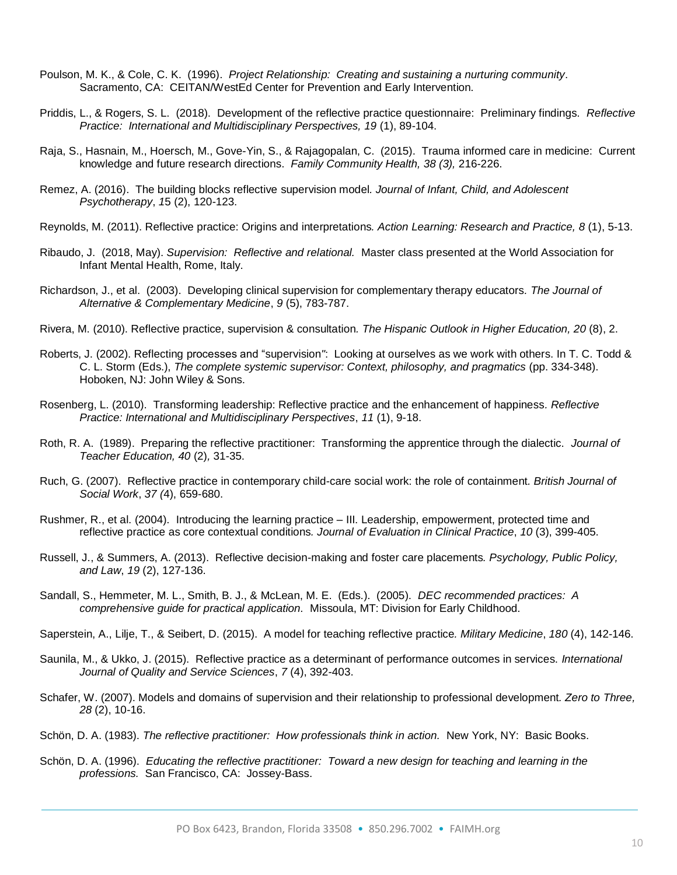- Poulson, M. K., & Cole, C. K. (1996). *Project Relationship: Creating and sustaining a nurturing community*. Sacramento, CA: CEITAN/WestEd Center for Prevention and Early Intervention.
- Priddis, L., & Rogers, S. L. (2018). Development of the reflective practice questionnaire: Preliminary findings. *Reflective Practice: International and Multidisciplinary Perspectives, 19 (1), 89-104.*
- Raja, S., Hasnain, M., Hoersch, M., Gove-Yin, S., & Rajagopalan, C. (2015). Trauma informed care in medicine: Current knowledge and future research directions. *Family Community Health, 38 (3),* 216-226.
- Remez, A. (2016). The building blocks reflective supervision model*. Journal of Infant, Child, and Adolescent Psychotherapy*, *1*5 (2), 120-123.
- Reynolds, M. (2011). Reflective practice: Origins and interpretations*. Action Learning: Research and Practice, 8* (1), 5-13.
- Ribaudo, J. (2018, May). *Supervision: Reflective and relational.* Master class presented at the World Association for Infant Mental Health, Rome, Italy.
- Richardson, J., et al. (2003). Developing clinical supervision for complementary therapy educators*. The Journal of Alternative & Complementary Medicine*, *9* (5), 783-787.
- Rivera, M. (2010). Reflective practice, supervision & consultation*. The Hispanic Outlook in Higher Education, 20* (8), 2.
- Roberts, J. (2002). Reflecting processes and "supervision*"*: Looking at ourselves as we work with others. In T. C. Todd & C. L. Storm (Eds.), *The complete systemic supervisor: Context, philosophy, and pragmatics* (pp. 334-348). Hoboken, NJ: John Wiley & Sons.
- Rosenberg, L. (2010). Transforming leadership: Reflective practice and the enhancement of happiness*. Reflective Practice: International and Multidisciplinary Perspectives*, *11* (1), 9-18.
- Roth, R. A. (1989). Preparing the reflective practitioner: Transforming the apprentice through the dialectic. *Journal of Teacher Education, 40* (2)*,* 31-35.
- Ruch, G. (2007). Reflective practice in contemporary child-care social work: the role of containment*. British Journal of Social Work*, *37 (*4), 659-680.
- Rushmer, R., et al. (2004). Introducing the learning practice III. Leadership, empowerment, protected time and reflective practice as core contextual conditions*. Journal of Evaluation in Clinical Practice*, *10* (3), 399-405.
- Russell, J., & Summers, A. (2013). Reflective decision-making and foster care placements*. Psychology, Public Policy, and Law*, *19* (2), 127-136.
- Sandall, S., Hemmeter, M. L., Smith, B. J., & McLean, M. E. (Eds.). (2005). *DEC recommended practices: A comprehensive guide for practical application.* Missoula, MT: Division for Early Childhood.
- Saperstein, A., Lilje, T., & Seibert, D. (2015). A model for teaching reflective practice*. Military Medicine*, *180* (4), 142-146.
- Saunila, M., & Ukko, J. (2015). Reflective practice as a determinant of performance outcomes in services. *International Journal of Quality and Service Sciences*, *7* (4), 392-403.
- Schafer, W. (2007). Models and domains of supervision and their relationship to professional development*. Zero to Three, 28* (2), 10-16.
- Schön, D. A. (1983). *The reflective practitioner: How professionals think in action.* New York, NY: Basic Books.
- Schön, D. A. (1996). *Educating the reflective practitioner: Toward a new design for teaching and learning in the professions.* San Francisco, CA: Jossey-Bass.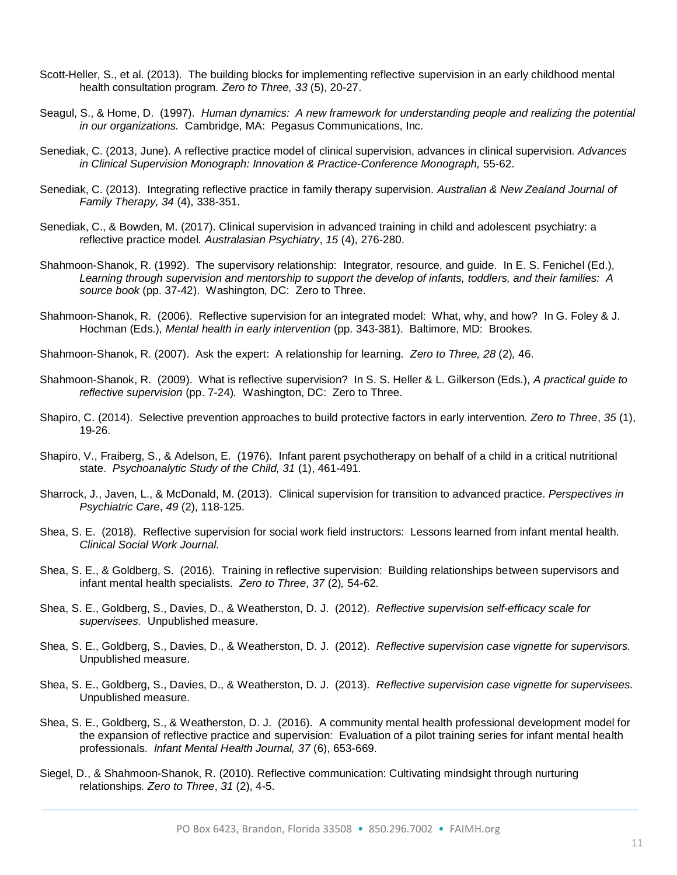- Scott-Heller, S., et al. (2013). The building blocks for implementing reflective supervision in an early childhood mental health consultation program*. Zero to Three, 33* (5), 20-27.
- Seagul, S., & Home, D. (1997). *Human dynamics: A new framework for understanding people and realizing the potential in our organizations.* Cambridge, MA: Pegasus Communications, Inc.
- Senediak, C. (2013, June). A reflective practice model of clinical supervision, advances in clinical supervision*. Advances*  in Clinical Supervision Monograph: Innovation & Practice-Conference Monograph, 55-62.
- Senediak, C. (2013). Integrating reflective practice in family therapy supervision*. Australian & New Zealand Journal of Family Therapy, 34* (4), 338-351.
- Senediak, C., & Bowden, M. (2017). Clinical supervision in advanced training in child and adolescent psychiatry: a reflective practice model*. Australasian Psychiatry*, *15* (4), 276-280.
- Shahmoon-Shanok, R. (1992). The supervisory relationship: Integrator, resource, and guide. In E. S. Fenichel (Ed.), *Learning through supervision and mentorship to support the develop of infants, toddlers, and their families: A source book* (pp. 37-42). Washington, DC: Zero to Three.
- Shahmoon-Shanok, R. (2006). Reflective supervision for an integrated model: What, why, and how? In G. Foley & J. Hochman (Eds.), *Mental health in early intervention* (pp. 343-381). Baltimore, MD: Brookes.
- Shahmoon-Shanok, R. (2007). Ask the expert: A relationship for learning. *Zero to Three, 28* (2)*,* 46.
- Shahmoon-Shanok, R. (2009). What is reflective supervision? In S. S. Heller & L. Gilkerson (Eds.), *A practical guide to reflective supervision* (pp. 7-24)*.* Washington, DC: Zero to Three.
- Shapiro, C. (2014). Selective prevention approaches to build protective factors in early intervention*. Zero to Three*, *35* (1), 19-26.
- Shapiro, V., Fraiberg, S., & Adelson, E. (1976). Infant parent psychotherapy on behalf of a child in a critical nutritional state. *Psychoanalytic Study of the Child, 31* (1), 461-491*.*
- Sharrock, J., Javen, L., & McDonald, M. (2013). Clinical supervision for transition to advanced practice. *Perspectives in Psychiatric Care*, *49* (2), 118-125.
- Shea, S. E. (2018). Reflective supervision for social work field instructors: Lessons learned from infant mental health. *Clinical Social Work Journal.*
- Shea, S. E., & Goldberg, S. (2016). Training in reflective supervision: Building relationships between supervisors and infant mental health specialists. *Zero to Three, 37* (2)*,* 54-62.
- Shea, S. E., Goldberg, S., Davies, D., & Weatherston, D. J. (2012). *Reflective supervision self-efficacy scale for supervisees.* Unpublished measure.
- Shea, S. E., Goldberg, S., Davies, D., & Weatherston, D. J. (2012). *Reflective supervision case vignette for supervisors.* Unpublished measure.
- Shea, S. E., Goldberg, S., Davies, D., & Weatherston, D. J. (2013). *Reflective supervision case vignette for supervisees.* Unpublished measure.
- Shea, S. E., Goldberg, S., & Weatherston, D. J. (2016). A community mental health professional development model for the expansion of reflective practice and supervision: Evaluation of a pilot training series for infant mental health professionals. *Infant Mental Health Journal, 37* (6), 653-669.
- Siegel, D., & Shahmoon-Shanok, R. (2010). Reflective communication: Cultivating mindsight through nurturing relationships*. Zero to Three*, *31* (2), 4-5.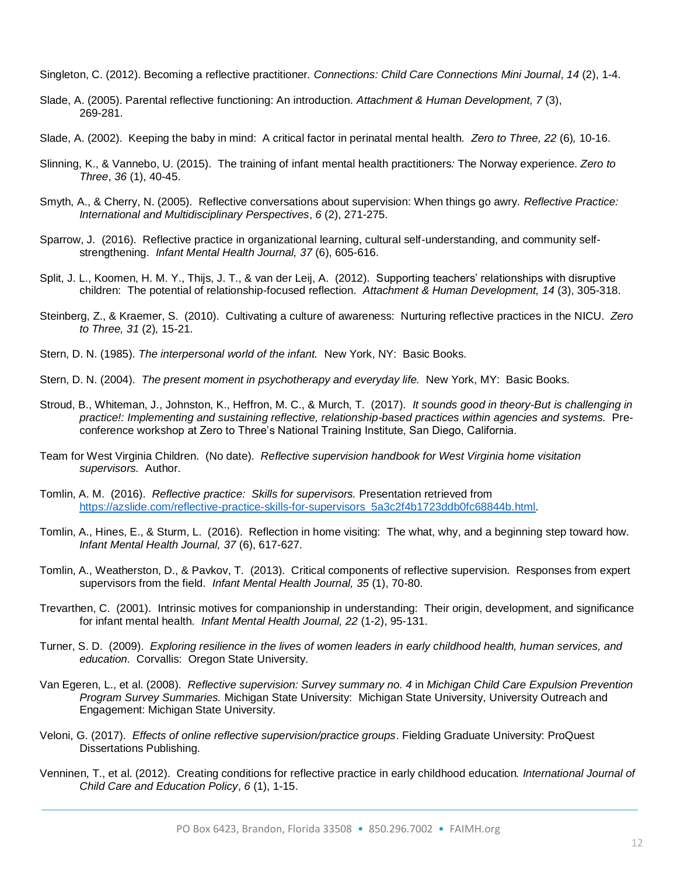Singleton, C. (2012). Becoming a reflective practitioner*. Connections: Child Care Connections Mini Journal*, *14* (2), 1-4.

- Slade, A. (2005). Parental reflective functioning: An introduction*. Attachment & Human Development, 7* (3), 269-281.
- Slade, A. (2002). Keeping the baby in mind: A critical factor in perinatal mental health. *Zero to Three, 22* (6)*,* 10-16.
- Slinning, K., & Vannebo, U. (2015). The training of infant mental health practitioners*:* The Norway experience. *Zero to Three*, *36* (1), 40-45.
- Smyth, A., & Cherry, N. (2005). Reflective conversations about supervision: When things go awry*. Reflective Practice: International and Multidisciplinary Perspectives*, *6* (2), 271-275.
- Sparrow, J. (2016). Reflective practice in organizational learning, cultural self-understanding, and community selfstrengthening. *Infant Mental Health Journal, 37* (6), 605-616.
- Split, J. L., Koomen, H. M. Y., Thijs, J. T., & van der Leij, A. (2012). Supporting teachers' relationships with disruptive children: The potential of relationship-focused reflection. *Attachment & Human Development, 14* (3), 305-318.
- Steinberg, Z., & Kraemer, S. (2010). Cultivating a culture of awareness: Nurturing reflective practices in the NICU. *Zero to Three, 31* (2)*,* 15-21.
- Stern, D. N. (1985). *The interpersonal world of the infant.* New York, NY: Basic Books.
- Stern, D. N. (2004). *The present moment in psychotherapy and everyday life.* New York, MY: Basic Books.
- Stroud, B., Whiteman, J., Johnston, K., Heffron, M. C., & Murch, T. (2017). *It sounds good in theory-But is challenging in practice!: Implementing and sustaining reflective, relationship-based practices within agencies and systems.* Preconference workshop at Zero to Three's National Training Institute, San Diego, California.
- Team for West Virginia Children. (No date). *Reflective supervision handbook for West Virginia home visitation supervisors.* Author.
- Tomlin, A. M. (2016). *Reflective practice: Skills for supervisors.* Presentation retrieved from [https://azslide.com/reflective-practice-skills-for-supervisors\\_5a3c2f4b1723ddb0fc68844b.html.](https://azslide.com/reflective-practice-skills-for-supervisors_5a3c2f4b1723ddb0fc68844b.html)
- Tomlin, A., Hines, E., & Sturm, L. (2016). Reflection in home visiting: The what, why, and a beginning step toward how. *Infant Mental Health Journal, 37* (6), 617-627.
- Tomlin, A., Weatherston, D., & Pavkov, T. (2013). Critical components of reflective supervision. Responses from expert supervisors from the field. *Infant Mental Health Journal, 35* (1), 70-80.
- Trevarthen, C. (2001). Intrinsic motives for companionship in understanding: Their origin, development, and significance for infant mental health. *Infant Mental Health Journal, 22* (1-2), 95-131.
- Turner, S. D. (2009). *Exploring resilience in the lives of women leaders in early childhood health, human services, and education.* Corvallis: Oregon State University.
- Van Egeren, L., et al. (2008). *Reflective supervision: Survey summary no. 4* in *Michigan Child Care Expulsion Prevention Program Survey Summaries.* Michigan State University: Michigan State University, University Outreach and Engagement: Michigan State University.
- Veloni, G. (2017). *Effects of online reflective supervision/practice groups*. Fielding Graduate University: ProQuest Dissertations Publishing.
- Venninen, T., et al. (2012). Creating conditions for reflective practice in early childhood education*. International Journal of Child Care and Education Policy*, *6* (1), 1-15.